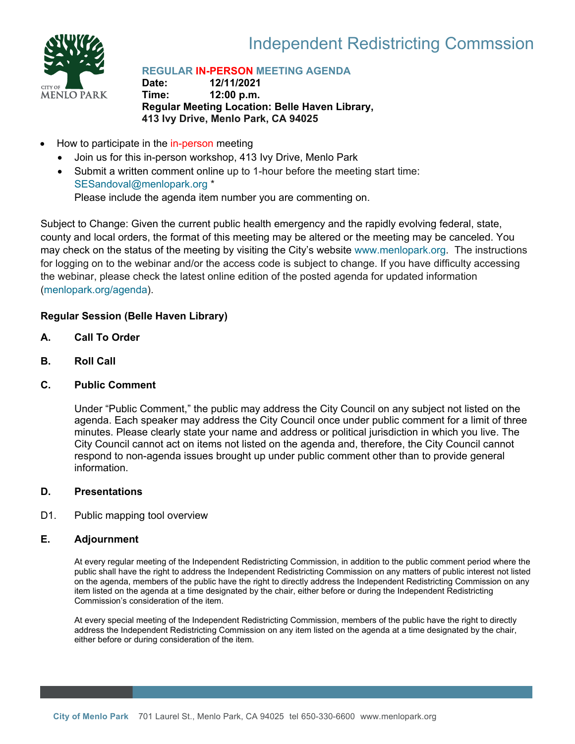

# Independent Redistricting Commssion

# **REGULAR IN-PERSON MEETING AGENDA**

**Date: 12/11/2021 Time: 12:00 p.m. Regular Meeting Location: Belle Haven Library, 413 Ivy Drive, Menlo Park, CA 94025**

- How to participate in the in-person meeting
	- Join us for this in-person workshop, 413 Ivy Drive, Menlo Park
	- Submit a written comment online up to 1-hour before the meeting start time: [SESandoval@menlopark.org](mailto:SESandoval@menlopark.org?subject=20211209%20IRC%20public%20comment) \* Please include the agenda item number you are commenting on.

Subject to Change: Given the current public health emergency and the rapidly evolving federal, state, county and local orders, the format of this meeting may be altered or the meeting may be canceled. You may check on the status of the meeting by visiting the City's website [www.menlopark.org.](http://www.menlopark.org/)The instructions for logging on to the webinar and/or the access code is subject to change. If you have difficulty accessing the webinar, please check the latest online edition of the posted agenda for updated information [\(menlopark.org/agenda\)](http://menlopark.org/agenda).

## **Regular Session (Belle Haven Library)**

- **A. Call To Order**
- **B. Roll Call**
- **C. Public Comment**

Under "Public Comment," the public may address the City Council on any subject not listed on the agenda. Each speaker may address the City Council once under public comment for a limit of three minutes. Please clearly state your name and address or political jurisdiction in which you live. The City Council cannot act on items not listed on the agenda and, therefore, the City Council cannot respond to non-agenda issues brought up under public comment other than to provide general information.

### **D. Presentations**

D1. Public mapping tool overview

### **E. Adjournment**

At every regular meeting of the Independent Redistricting Commission, in addition to the public comment period where the public shall have the right to address the Independent Redistricting Commission on any matters of public interest not listed on the agenda, members of the public have the right to directly address the Independent Redistricting Commission on any item listed on the agenda at a time designated by the chair, either before or during the Independent Redistricting Commission's consideration of the item.

At every special meeting of the Independent Redistricting Commission, members of the public have the right to directly address the Independent Redistricting Commission on any item listed on the agenda at a time designated by the chair, either before or during consideration of the item.